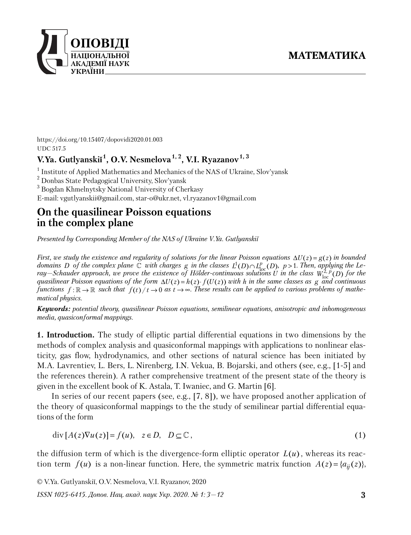

https://doi.org/10.15407/dopovidi2020.01.003 UDC 517.5

# **V.Ya. Gutlyanskiĭ 1 , O.V. Nesmelova 1, 2, V.I. Ryazanov1, 3**

<sup>1</sup> Institute of Applied Mathematics and Mechanics of the NAS of Ukraine, Slov'yansk

<sup>2</sup> Donbas State Pedagogical University, Slov'yansk

 $^3$  Bogdan Khmelnytsky National University of Cherkasy

E-mail: vgutlyanskii@gmail.com, star-o@ukr.net, vl.ryazanov1@gmail.com

## **On the quasilinear Poisson equations in the complex plane**

*Presented by Corresponding Member of the NAS of Ukraine V.Ya. Gutlyanskiĭ*

*First, we study the existence and regularity of solutions for the linear Poisson equations*  $\Delta U(z) = g(z)$  in bounded *domains D of the complex plane*  $\mathbb C$  *with charges*  $g$  *in the classes*  $L^1(D) \cap L^p_{loc}(D)$ ,  $p > 1$ . Then, applying the Le*ray—Schauder approach, we prove the existence of Hölder-continuous solutions U in the class*  $W^{2, p}_{\text{loc}}(D)$  for the *quasilinear Poisson equations of the form*  $\Delta U(z) = h(z) \cdot f(U(z))$  with *h* in the same classes as g and continuous *functions*  $f: \mathbb{R} \to \mathbb{R}$  such that  $f(t)/t \to 0$  as  $t \to \infty$ . These results can be applied to various problems of mathe*matical physics.*

*Keywords: potential theory, quasilinear Poisson equations, semilinear equations, anisotropic and inhomogeneous media, quasiconformal mappings.*

**1. Introduction.** The study of elliptic partial differential equations in two dimensions by the methods of complex analysis and quasiconformal mappings with applications to nonlinear elasticity, gas flow, hydrodynamics, and other sections of natural science has been initiated by M.A. Lavrentiev, L. Bers, L. Nirenberg, I.N. Vekua, B. Bojarski, and others (see, e.g., [1-5] and the references therein). A rather comprehensive treatment of the present state of the theory is given in the excellent book of K. Astala, T. Iwaniec, and G. Martin [6].

In series of our recent papers (see, e.g., [7, 8]), we have proposed another application of the theory of quasiconformal mappings to the the study of semilinear partial differential equations of the form

$$
\operatorname{div}[A(z)\nabla u(z)] = f(u), \quad z \in D, \quad D \subseteq \mathbb{C}, \tag{1}
$$

the diffusion term of which is the divergence-form elliptic operator  $L(u)$ , whereas its reaction term  $f(u)$  is a non-linear function. Here, the symmetric matrix function  $A(z) = \{ a_{ii}(z) \}$ ,

© V.Ya. Gutlyanskiĭ, O.V. Nesmelova, V.I. Ryazanov, 2020

*ISSN 1025-6415. Допов. Нац. акад. наук Укр. 2020. № 1: 3—12*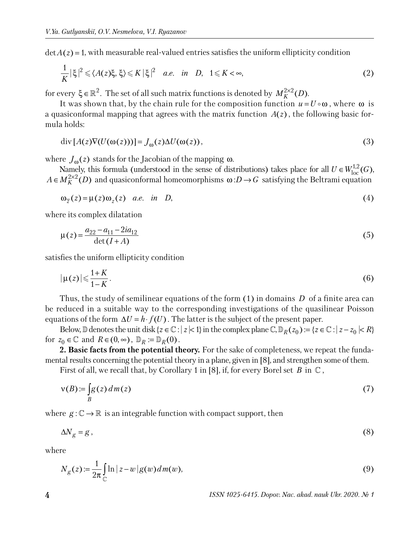$\det A(z) = 1$ , with measurable real-valued entries satisfies the uniform ellipticity condition

$$
\frac{1}{K}|\xi|^2 \leq \langle A(z)\xi, \xi \rangle \leq K|\xi|^2 \quad a.e. \quad in \quad D, \quad 1 \leq K < \infty,
$$
\n(2)

for every  $\xi \in \mathbb{R}^2$ . The set of all such matrix functions is denoted by  $M_K^{2 \times 2}(D)$ .

It was shown that, by the chain rule for the composition function  $u = U \circ \omega$ , where  $\omega$  is a quasiconformal mapping that agrees with the matrix function  $A(z)$ , the following basic formula holds:

$$
\operatorname{div}\left[A(z)\nabla(U(\omega(z)))\right] = J_{\omega}(z)\Delta U(\omega(z)),\tag{3}
$$

where  $J_{\omega}(z)$  stands for the Jacobian of the mapping  $\omega$ .

Namely, this formula (understood in the sense of distributions) takes place for all  $U \in W^{1,2}_{loc}(G)$ ,  $A \in M_K^{2 \times 2}(D)$  and quasiconformal homeomorphisms  $\omega : D \to G$  satisfying the Beltrami equation

$$
\omega_{\overline{z}}(z) = \mu(z)\omega_z(z) \quad a.e. \quad in \quad D,
$$
\n<sup>(4)</sup>

where its complex dilatation

$$
\mu(z) = \frac{a_{22} - a_{11} - 2ia_{12}}{\det(I + A)}
$$
(5)

satisfies the uniform ellipticity condition

$$
|\mu(z)| \leqslant \frac{1+K}{1-K}.\tag{6}
$$

Thus, the study of semilinear equations of the form (1) in domains *D* of a finite area can be reduced in a suitable way to the corresponding investigations of the quasilinear Poisson equations of the form  $\Delta U = h \cdot f(U)$ . The latter is the subject of the present paper.

Below,  $\mathbb D$  denotes the unit disk { $z \in \mathbb C$  :  $|z| < 1$ } in the complex plane  $\mathbb C$ ,  $\mathbb D_R(z_0) := \{z \in \mathbb C : |z - z_0| < R\}$ for  $z_0 \in \mathbb{C}$  and  $R \in (0, \infty)$ ,  $\mathbb{D}_R := \mathbb{D}_R(0)$ .

2. Basic facts from the potential theory. For the sake of completeness, we repeat the fundamental results concerning the potential theory in a plane, given in [8], and strengthen some of them.

First of all, we recall that, by Corollary 1 in [8], if, for every Borel set  $B$  in  $\mathbb C$ ,

$$
v(B) := \int_{B} g(z) dm(z)
$$
 (7)

where  $g: \mathbb{C} \to \mathbb{R}$  is an integrable function with compact support, then

$$
\Delta N_g = g \,,\tag{8}
$$

where

$$
N_g(z) := \frac{1}{2\pi} \int_{\mathbb{C}} \ln|z - w| g(w) dm(w), \tag{9}
$$

**4** *ISSN 1025-6415. Dopov. Nac. akad. nauk Ukr. 2020. № 1*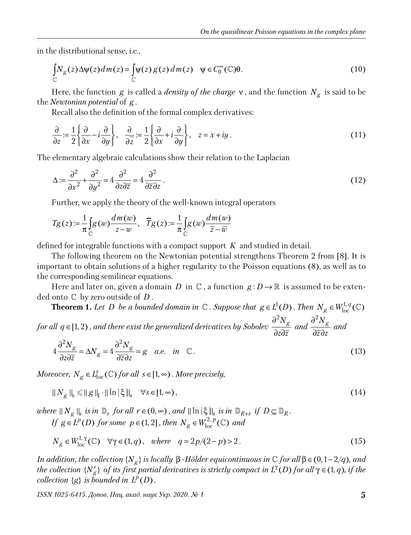in the distributional sense, i.e.,

$$
\int_{\mathbb{C}} N_{g}(z) \Delta \psi(z) dm(z) = \int_{\mathbb{C}} \psi(z) g(z) dm(z) \quad \psi \in C_0^{\infty}(\mathbb{C}) \theta.
$$
\n(10)

Here, the function *g* is called a *density of the charge* ν , and the function *N<sup>g</sup>* is said to be the *Newtonian potential* of *g* .

Recall also the definition of the formal complex derivatives:

$$
\frac{\partial}{\partial z} := \frac{1}{2} \left\{ \frac{\partial}{\partial x} - i \frac{\partial}{\partial y} \right\}, \quad \frac{\partial}{\partial \overline{z}} := \frac{1}{2} \left\{ \frac{\partial}{\partial x} + i \frac{\partial}{\partial y} \right\}, \quad z = x + iy \,.
$$
\n(11)

The elementary algebraic calculations show their relation to the Laplacian

$$
\Delta := \frac{\partial^2}{\partial x^2} + \frac{\partial^2}{\partial y^2} = 4 \frac{\partial^2}{\partial z \partial \overline{z}} = 4 \frac{\partial^2}{\partial \overline{z} \partial z}.
$$
\n(12)

Further, we apply the theory of the well-known integral operators

$$
T_g(z) := \frac{1}{\pi} \int_{\mathbb{C}} g(w) \frac{dm(w)}{z - w}, \quad \overline{T}_g(z) := \frac{1}{\pi} \int_{\mathbb{C}} g(w) \frac{dm(w)}{\overline{z} - \overline{w}}
$$

defined for integrable functions with a compact support *K* and studied in detail.

The following theorem on the Newtonian potential strengthens Theorem 2 from [8]. It is important to obtain solutions of a higher regularity to the Poisson equations (8), as well as to the corresponding semilinear equations.

Here and later on, given a domain *D* in  $\mathbb{C}$ , a function  $g: D \to \mathbb{R}$  is assumed to be extended onto £ by zero outside of *D* .

**Theorem 1.** Let D be a bounded domain in  $\mathbb{C}$  . Suppose that  $g \in L^1(D)$  *. Then*  $N_g \in W^{1,q}_{loc}(\mathbb{C})$ 

*for all*  $q \in [1, 2)$  *, and there exist the generalized derivatives by Sobolev*  $\frac{\partial^2 N_g}{\partial \sigma^2}$ *z z* ∂  $\partial z\partial$ and  $\frac{\partial^2 N_g}{\partial x^2}$ *z z* ∂  $\partial \overline{z} \partial$  *and*

$$
4\frac{\partial^2 N_g}{\partial z \partial \overline{z}} = \Delta N_g = 4\frac{\partial^2 N_g}{\partial \overline{z} \partial z} = g \quad a.e. \quad in \quad \mathbb{C} \,. \tag{13}
$$

*Moreover,*  $N_g \in L^s_{loc}(\mathbb{C})$  *for all s*  $\in [1, \infty)$ *. More precisely,* 

$$
||N_g||_{s} \le ||g||_{1} \cdot ||\ln|\xi||_{s} \quad \forall s \in [1, \infty), \tag{14}
$$

 $\mathbb{E} \left\|X_{g}\right\|_{s}$  *is in*  $\mathbb{D}_{r}$  *for all*  $r \in (0, \infty)$  *, and*  $\|\ln \left|\xi\right\|_{s}$  *is in*  $\mathbb{D}_{R+r}$  *if*  $D \subseteq \mathbb{D}_{R}$ *. If*  $g \in L^p(D)$  *for some*  $p \in (1, 2]$ *, then*  $N_g \in W^{2, p}_{loc}(\mathbb{C})$  *and* 

$$
N_g \in W_{\text{loc}}^{1,\gamma}(\mathbb{C}) \quad \forall \gamma \in (1,q), \quad \text{where} \quad q = 2p/(2-p) > 2. \tag{15}
$$

*In addition, the collection*  $\{N_g\}$  *is locally*  $\beta$  *-Hölder equicontinuous in*  $\mathbb C$  *for all*  $\beta \in (0, 1-2/q)$ *, and the collection* { $N_g'$ } *of its first partial derivatives is strictly compact in L<sup>γ</sup>(D) for all*  $\gamma \in (1, q)$ *, if the*  $\mathit{collection}$   $\{g\}$  *is bounded in*  $L^p(D)$ .

*ISSN 1025-6415. Допов. Нац. акад. наук Укр. 2020. № 1* **5**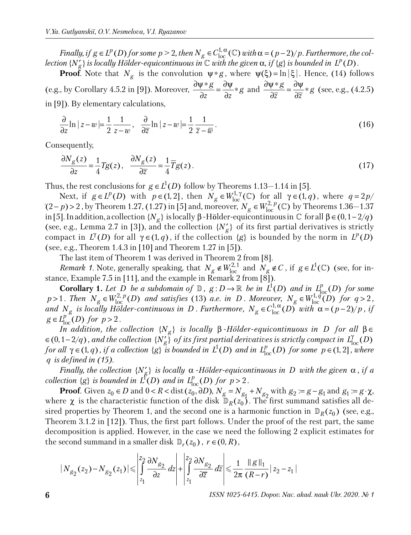*Finally, if*  $g \in L^p(D)$  *for some*  $p > 2$ *, then*  $N_g \in C^{1,\alpha}_{loc}(\mathbb{C})$  *with*  $\alpha = (p-2)/p$ *<i>. Furthermore, the col* $l$  *ection* { $N_g'$ } *is locally Hölder-equicontinuous in*  $\mathbb C$  *with the given*  $\alpha$ *, if {g} is bounded in*  $L^p(D)$  *.* 

**Proof**. Note that  $N_g$  is the convolution  $\psi * g$ , where  $\psi(\xi) = \ln |\xi|$ . Hence, (14) follows (e.g., by Corollary 4.5.2 in [9]). Moreover,  $\frac{\partial \psi * g}{\partial x} = \frac{\partial \psi}{\partial x} * g$ *z z*  $\frac{\partial \psi * g}{\partial x} = \frac{\partial \psi}{\partial x} *$  $\partial z$   $\partial$ and  $\frac{\partial \psi * g}{\partial z} = \frac{\partial \psi}{\partial z} * g$ *z z*  $\frac{\partial \psi * g}{\partial z} = \frac{\partial \psi}{\partial z} *$  $\partial \overline{z}$   $\partial$  (see, e.g., (4.2.5) in [9]). By elementary calculations,

$$
\frac{\partial}{\partial z} \ln|z - w| = \frac{1}{2} \frac{1}{z - w}, \quad \frac{\partial}{\partial \overline{z}} \ln|z - w| = \frac{1}{2} \frac{1}{\overline{z} - \overline{w}}.
$$
\n(16)

Consequently,

$$
\frac{\partial N_g(z)}{\partial z} = \frac{1}{4} Tg(z), \quad \frac{\partial N_g(z)}{\partial \overline{z}} = \frac{1}{4} \overline{T}g(z).
$$
\n(17)

Thus, the rest conclusions for  $g \in L^1(D)$  follow by Theorems 1.13–1.14 in [5].

Next, if  $g \in L^p(D)$  with  $p \in (1, 2]$ , then  $N_g \in W^{1, \gamma}_{loc}(\mathbb{C})$  for all  $\gamma \in (1, q)$ , where  $q = 2p/$  $q = (2-p) > 2$ , by Theorem 1.27, (1.27) in [5] and, moreover,  $N_g \in W_{loc}^{2,p}(\mathbb{C})$  by Theorems 1.36–1.37 in [5]. In addition, a collection  $\{N_g\}$  is locally β -Hölder-equicontinuous in  $\mathbb C$  for all  $\beta$  ∈  $(0,1-2/q)$ (see, e.g., Lemma 2.7 in [3]), and the collection  $\{N'_g\}$  of its first partial derivatives is strictly compact in  $L^{\gamma}(D)$  for all  $\gamma \in (1, q)$ , if the collection  $\{g\}$  is bounded by the norm in  $L^p(D)$ (see, e.g., Theorem 1.4.3 in [10] and Theorem 1.27 in [5]).

The last item of Theorem 1 was derived in Theorem 2 from [8].

*Remark 1*. Note, generally speaking, that  $N_g \notin W_{loc}^{2,1}$  and  $N_g \notin C$ , if  $g \in L^1(\mathbb{C})$  (see, for instance, Example 7.5 in [11], and the example in  $\widetilde{Remark 2}$  from [8]).

**Corollary 1.** Let D be a subdomain of  $\mathbb{D}$ ,  $g: D \to \mathbb{R}$  be in  $L^1(D)$  and in  $L^p_{loc}(D)$  for some  $p > 1$ *. Then*  $N_g \in W^{2, p}_{loc}(D)$  *and satisfies* (13) *a.e. in D. Moreover,*  $N_g \in W^{1, q}_{loc}(D)$  *for*  $q > 2$ *,* and  $N_g$  is locally Hölder-continuous in D . Furthermore,  $N_g \in C^{1,\alpha}_{loc}(D)$  with  $\alpha = (p-2)/p$ , if  $g \in L_{loc}^{p} (D)$  *for*  $p > 2$ *.* 

*In addition, the collection*  ${N_g}$  *is locally*  $\beta$  *-Hölder-equicontinuous in D for all*  $\beta \in$  $\epsilon\in(0,1-2/q)$ , and the collection  ${N'_g}$  of its first partial derivatives is strictly compact in  $L^{\gamma}_{loc}(D)$ *for all*  $\gamma \in (1, q)$ , *if a collection*  $\{g\}$  *is bounded in*  $L^1(D)$  *and in*  $L^p_{loc}(D)$  *for some*  $p \in (1, 2]$ *, where q is defined in (15).*

*Finally, the collection*  ${N'_g}$  *is locally*  $\alpha$  *-Hölder-equicontinuous in D with the given*  $\alpha$ , *if*  $a$ *collection*  $\{g\}$  *is bounded in*  $L^p(D)$  *and in*  $L^p_{loc}(D)$  *for*  $p > 2$ *.* 

**Proof***.* Given  $z_0 \in D$  and  $0 < R <$  dist $(z_0, \partial D)$ ,  $N_g = N_{g_1} + N_{g_2}$  with  $g_2 := g - g_1$  and  $g_1 := g \cdot \chi$ , where  $\chi$  is the characteristic function of the disk  $\mathbb{D}_R(z_0)$ . The first summand satisfies all desired properties by Theorem 1, and the second one is a harmonic function in  $\mathbb{D}_R(z_0)$  (see, e.g., Theorem 3.1.2 in [12]). Thus, the first part follows. Under the proof of the rest part, the same decomposition is applied. However, in the case we need the following 2 explicit estimates for the second summand in a smaller disk  $\mathbb{D}_r(z_0)$ ,  $r \in (0, R)$ ,

$$
|N_{g_2}(z_2) - N_{g_2}(z_1)| \leqslant \left| \int_{z_1}^{z_2} \frac{\partial N_{g_2}}{\partial z} dz \right| + \left| \int_{z_1}^{z_2} \frac{\partial N_{g_2}}{\partial \overline{z}} d\overline{z} \right| \leqslant \frac{1}{2\pi} \frac{\|g\|_1}{(R-r)} |z_2 - z_1|
$$

**6** *ISSN 1025-6415. Dopov. Nac. akad. nauk Ukr. 2020. № 1*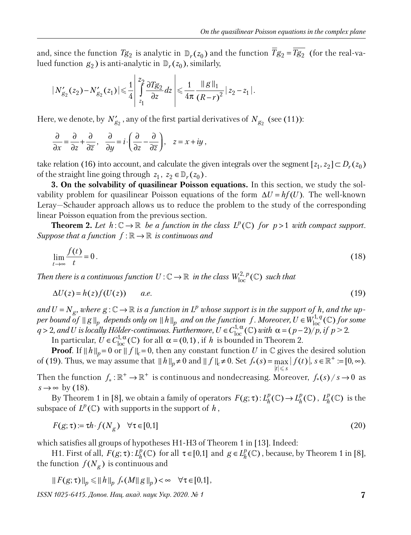and, since the function  $Tg_2$  is analytic in  $\mathbb{D}_r(z_0)$  and the function  $Tg_2 = Tg_2$  (for the real-valued function  $g_2$ ) is anti-analytic in  $\mathbb{D}_r(z_0)$ , similarly,

$$
|N'_{g_2}(z_2) - N'_{g_2}(z_1)| \leq \frac{1}{4} \left| \int_{z_1}^{z_2} \frac{\partial Tg_2}{\partial z} dz \right| \leq \frac{1}{4\pi} \frac{\|g\|_1}{(R-r)^2} |z_2 - z_1|.
$$

Here, we denote, by  $N'_{g_2}$  , any of the first partial derivatives of  $N_{g_2}$  (see (11)):

$$
\frac{\partial}{\partial x} = \frac{\partial}{\partial z} + \frac{\partial}{\partial \overline{z}}, \quad \frac{\partial}{\partial y} = i \cdot \left( \frac{\partial}{\partial z} - \frac{\partial}{\partial \overline{z}} \right), \quad z = x + iy,
$$

take relation (16) into account, and calculate the given integrals over the segment  $[z_1, z_2] \subset D_r(z_0)$ of the straight line going through  $z_1, z_2 \in \mathbb{D}_r(z_0)$ .

**3. On the solvability of quasilinear Poisson equations.** In this section, we study the solvability problem for quasilinear Poisson equations of the form  $\Delta U = hf(U)$ . The well-known Leray—Schauder approach allows us to reduce the problem to the study of the corresponding linear Poisson equation from the previous section.

**Theorem 2.** Let  $h: \mathbb{C} \to \mathbb{R}$  be a function in the class  $L^p(\mathbb{C})$  for  $p > 1$  with compact support. *Suppose that a function*  $f : \mathbb{R} \to \mathbb{R}$  *is continuous and* 

$$
\lim_{t \to \infty} \frac{f(t)}{t} = 0. \tag{18}
$$

Then there is a continuous function  $U$  :  $\mathbb{C} \to \mathbb{R}$  in the class  $W^{2,\,p}_{\mathrm{loc}}(\mathbb{C})$  such that

$$
\Delta U(z) = h(z)f(U(z)) \qquad a.e. \tag{19}
$$

 $and U = N_g$ , where  $g: \mathbb{C} \to \mathbb{R}$  is a function in  $L^p$  whose support is in the support of h, and the up $p$  *er* bound  $\int_0^a f \|g\|_p$  depends only on  $\|h\|_p$  and on the function f. Moreover,  $U \in W^{1,q}_{\rm loc}(\mathbb C)$  for some  $q > 2$ , and U is locally Hölder-continuous. Furthermore,  $U \in C^{1,\alpha}_{loc}(\mathbb{C})$  with  $\alpha = (p-2)/p$ , if  $p > 2$ .

In particular,  $U \in C^{1,\alpha}_{loc}(\mathbb{C})$  for all  $\alpha = (0,1)$ , if *h* is bounded in Theorem 2.

**Proof**. If  $||h||_p = 0$  or  $||f||_c = 0$ , then any constant function *U* in  $\mathbb{C}$  gives the desired solution of (19). Thus, we may assume that  $||h||_p \neq 0$  and  $||f||_c \neq 0$ . Set  $f_*(s) = \max_{i=1} |f(t)|$ ,  $s \in \mathbb{R}^+ := [0, \infty)$ .  $|t| \leqslant s$ 

Then the function  $f_* : \mathbb{R}^+ \to \mathbb{R}^+$  is continuous and nondecreasing. Moreover,  $f_*(s) / s \to 0$  as  $s \rightarrow \infty$  by (18).

By Theorem 1 in [8], we obtain a family of operators  $F(g; \tau) : L_h^p(\mathbb{C}) \to L_h^p(\mathbb{C})$ ,  $L_h^p(\mathbb{C})$  is the subspace of  $L^p(\mathbb{C})$  with supports in the support of  $h$ ,

$$
F(g; \tau) := \tau h \cdot f(N_g) \quad \forall \tau \in [0, 1]
$$
\n
$$
(20)
$$

which satisfies all groups of hypotheses H1-H3 of Theorem 1 in [13]. Indeed:

H1. First of all,  $F(g; \tau)$ :  $L_h^p(\mathbb{C})$  for all  $\tau \in [0,1]$  and  $g \in L_h^p(\mathbb{C})$ , because, by Theorem 1 in [8], the function  $\,f(N_{\overline{g}})\,$  is continuous and

$$
|| F(g; \tau) ||_p \le ||h||_p f_*(M||g||_p) < \infty \quad \forall \tau \in [0,1],
$$

*ISSN 1025-6415. Допов. Нац. акад. наук Укр. 2020. № 1* **7**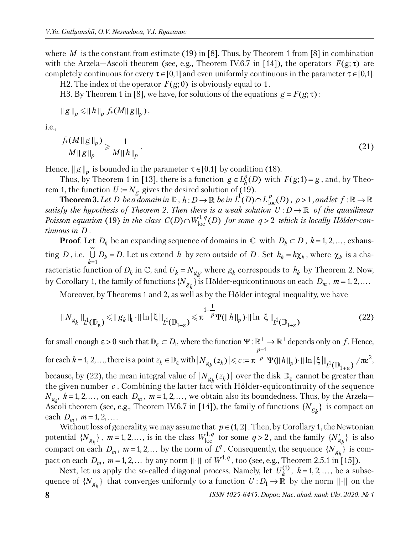where *M* is the constant from estimate (19) in [8]. Thus, by Theorem 1 from [8] in combination with the Arzela—Ascoli theorem (see, e.g., Theorem IV.6.7 in [14]), the operators  $F(g; \tau)$  are completely continuous for every  $\tau \in [0,1]$  and even uniformly continuous in the parameter  $\tau \in [0,1]$ .

H2. The index of the operator  $F(g; 0)$  is obviously equal to 1.

H3. By Theorem 1 in [8], we have, for solutions of the equations  $g = F(g; \tau)$ :

$$
\|g\|_p \leq \|h\|_p f_*(M\|g\|_p),
$$

i.e.,

$$
\frac{f_*(M||g||_p)}{M||g||_p} \geqslant \frac{1}{M||h||_p}.\tag{21}
$$

Hence,  $||g||_p$  is bounded in the parameter  $\tau \in [0,1]$  by condition (18).

Thus, by Theorem 1 in [13], there is a function  $g \in L_h^p(D)$  with  $F(g; 1) = g$ , and, by Theorem 1, the function  $U := N_g$  gives the desired solution of (19).

**Theorem 3.** Let D be a domain in  $\mathbb{D}$ ,  $h: D \to \mathbb{R}$  be in  $L^1(D) \cap L^p_{loc}(D)$ ,  $p > 1$ , and let  $f: \mathbb{R} \to \mathbb{R}$ *satisfy the hypothesis of Theorem 2. Then there is a weak solution*  $U: D \to \mathbb{R}$  *of the quasilinear Poisson equation* (19) in the class  $C(D) \cap W^{1,q}_{loc}(D)$  for some  $q > 2$  which is locally Hölder-con*tinuous in D .*

**Proof**. Let  $D_k$  be an expanding sequence of domains in  $\mathbb{C}$  with  $D_k \subset D$ ,  $k = 1, 2, \ldots$ , exhausting *D* , i.e.  $\bigcup_{k=1}^{\mathbf{U}} P_k$  $D_k = D$ ∞ =  $\bigcup D_k = D$ . Let us extend *h* by zero outside of *D* . Set  $h_k = h \chi_k$ , where  $\chi_k$  is a characteristic function of  $D_k$  in  $\mathbb{C}$ , and  $U_k = N_{g_k}$ , where  $g_k$  corresponds to  $h_k$  by Theorem 2. Now, by Corollary 1, the family of functions  $\{N_{\mathcal{S}_k}\}$  is Hölder-equicontinuous on each  $\,D_m$  ,  $\,m$  = 1, 2, … .

Moreover, by Theorems 1 and 2, as well as by the Hölder integral inequality, we have

$$
\|N_{g_k}\|_{L^1(\mathbb{D}_\varepsilon)} \le \|g_k\|_{H^1} \|\ln|\xi\|_{L^1(\mathbb{D}_{1+\varepsilon})} \le \pi^{\frac{1-\frac{1}{p}}{p}} \Psi(\|h\|_p) \|\ln|\xi\|_{L^1(\mathbb{D}_{1+\varepsilon})}
$$
(22)

for small enough  $\varepsilon > 0$  such that  $\mathbb{D}_{\varepsilon} \subset D_1$ , where the function  $\Psi : \mathbb{R}^+ \to \mathbb{R}^+$  depends only on f. Hence, for each  $k = 1, 2, \ldots$ , there is a point  $z_k \in \mathbb{D}_{\varepsilon}$  with 1  $|N_{g_k}(z_k)| \leqslant c := \pi^{-p} \Psi(||h||_p) \cdot ||\ln|\xi||_{L^1(\mathbb{D}_{1+\epsilon})} / \pi \epsilon^2$ *p*  $\left| N_{g_k}(z_k) \right| \leqslant c := \pi^{-p} \Psi(\|h\|_p) \cdot \|\ln|\xi\|_p$ −  $\leqslant c := \pi^{-p} \Psi(\Vert h \Vert_p) \cdot \Vert \ln \vert \xi \vert \Vert_{L^1(\mathbb{D}_{1+\epsilon})} / \pi \epsilon^2,$ because, by (22), the mean integral value of  $|N_{g_k}(z_k)|$  over the disk  $\mathbb{D}_{\varepsilon}$  cannot be greater than the given number  $c$ . Combining the latter fact with Hölder-equicontinuity of the sequence

 $N_{g_k}$ ,  $k = 1, 2, \ldots$ , on each  $D_m$ ,  $m = 1, 2, \ldots$ , we obtain also its boundedness. Thus, by the Arzela— Ascoli theorem (see, e.g., Theorem IV.6.7 in [14]), the family of functions  $\{N_{g_k}\}\$ is compact on each  $D_m$ ,  $m = 1, 2, ...$ 

Without loss of generality, we may assume that  $p \in (1, 2]$ . Then, by Corollary 1, the Newtonian potential  $\{N_{g_k}\}\$ ,  $m = 1, 2, \ldots$ , is in the class  $W_{\text{loc}}^{1,q}$  for some  $q > 2$ , and the family  $\{N'_{g_k}\}\$  is also compact on each  $D_m$ ,  $m = 1, 2, ...$  by the norm of  $L^q$ . Consequently, the sequence  $\{N_{g_k}\}$  is compact on each  $D_m$ ,  $m = 1, 2, ...$  by any norm  $\|\cdot\|$  of  $W^{1,q}$ , too (see, e.g., Theorem 2.5.1 in [15]).

Next, let us apply the so-called diagonal process. Namely, let  $U_k^{(1)}$ ,  $k = 1, 2, \ldots$ , be a subsequence of  $\{N_{g_k}\}\)$  that converges uniformly to a function  $U: D_1 \to \mathbb{R}$  by the norm  $\| \cdot \|$  on the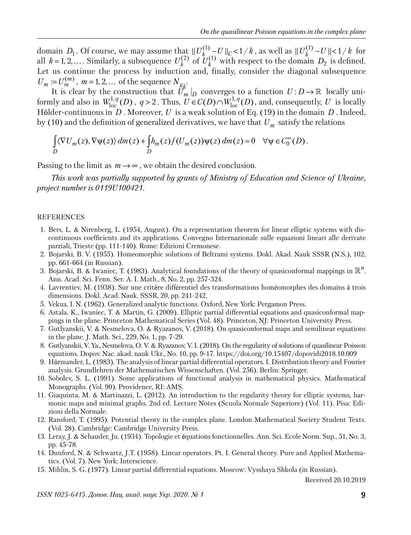domain  $D_1$ . Of course, we may assume that  $||U_k^{(1)} - U||_C < 1/k$ , as well as  $||U_k^{(1)} - U|| < 1/k$  for all  $k = 1, 2, \ldots$ . Similarly, a subsequence  $U_k^{(2)}$  of  $U_k^{(1)}$  with respect to the domain  $D_2$  is defined. Let us continue the process by induction and, finally, consider the diagonal subsequence  $U_m := U_m^{(m)}$ ,  $m = 1, 2, ...$  of the sequence  $N_{g_k}$ .

It is clear by the construction that  $U_m|_D$  converges to a function  $U: D \to \mathbb{R}$  locally uniformly and also in  $W^{1,q}_{loc}(D)$ ,  $q > 2$ . Thus,  $U \in C(D) \cap W^{1,q}_{loc}(D)$ , and, consequently, *U* is locally Hölder-continuous in *D*. Moreover, *U* is a weak solution of Eq. (19) in the domain *D*. Indeed, by (10) and the definition of generalized derivatives, we have that *Um* satisfy the relations

$$
\int_{D} \langle \nabla U_m(z), \nabla \psi(z) \rangle dm(z) + \int_{D} h_m(z) f(U_m(z)) \psi(z) dm(z) = 0 \quad \forall \psi \in C_0^{\infty}(D).
$$

Passing to the limit as  $m \rightarrow \infty$ , we obtain the desired conclusion.

*This work was partially supported by grants of Ministry of Education and Science of Ukraine, project number is 0119U100421.*

#### REFERENCES

- 1. Bers, L. & Nirenberg, L. (1954, August). On a representation theorem for linear elliptic systems with discontinuous coefficients and its applications. Convegno Internazionale sulle equazioni lineari alle derivate parziali, Trieste (pp. 111-140). Rome: Edizioni Cremonese.
- 2. Bojarski, B. V. (1955). Homeomorphic solutions of Beltrami systems. Dokl. Akad. Nauk SSSR (N.S.), 102, pp. 661-664 (in Russian).
- 3. Bojarski, B. & Iwaniec, T. (1983). Analytical foundations of the theory of quasiconformal mappings in  $\mathbb{R}^n$ . Ann. Acad. Sci. Fenn. Ser. A. I. Math., 8, No. 2, pp. 257-324.
- 4. Lavrentiev, M. (1938). Sur une critère différentiel des transformations homéomorphes des domains à trois dimensions. Dokl. Acad. Nauk. SSSR, 20, pp. 241-242.
- 5. Vekua, I. N. (1962). Generalized analytic functions. Oxford, New York: Pergamon Press.
- 6. Astala, K., Iwaniec, T. & Martin, G. (2009). Elliptic partial differential equations and quasiconformal mappings in the plane. Princeton Mathematical Series (Vol. 48). Princeton, NJ: Princeton University Press.
- 7. Gutlyanskii, V. & Nesmelova, O. & Ryazanov, V. (2018). On quasiconformal maps and semilinear equations in the plane. J. Math. Sci., 229, No. 1, pp. 7-29.
- 8. Gutlyanskii, V. Ya., Nesmelova, O. V. & Ryazanov, V. I. (2018). On the regularity of solutions of quasilinear Poisson equations. Dopov. Nac. akad. nauk Ukr., No. 10, pp. 9-17. https://doi.org/10.15407/dopovidi2018.10.009
- 9. Hörmander, L. (1983). The analysis of linear partial differential operators. I. Distribution theory and Fourier analysis. Grundlehren der Mathematischen Wissenschaften. (Vol. 256). Berlin: Springer.
- 10. Sobolev, S. L. (1991). Some applications of functional analysis in mathematical physics. Mathematical Monographs. (Vol. 90). Providence, RI: AMS.
- 11. Giaquinta, M. & Martinazzi, L. (2012). An introduction to the regularity theory for elliptic systems, harmonic maps and minimal graphs. 2nd ed. Lecture Notes (Scuola Normale Superiore) (Vol. 11). Pisa: Edizioni della Normale.
- 12. Ransford, T. (1995). Potential theory in the complex plane. London Mathematical Society Student Texts. (Vol. 28). Cambridge: Cambridge University Press.
- 13. Leray, J. & Schauder, Ju. (1934). Topologie et quations fonctionnelles. Ann. Sci. Ecole Norm. Sup., 51, No. 3, pp. 45-78.
- 14. Dunford, N. & Schwartz, J.T. (1958). Linear operators. Pt. I. General theory. Pure and Applied Mathematics. (Vol. 7). New York: Interscience.
- 15. Mihlin, S. G. (1977). Linear partial differential equations. Moscow: Vysshaya Shkola (in Russian).

Received 20.10.2019

*ISSN 1025-6415. Допов. Нац. акад. наук Укр. 2020. № 1* **9**